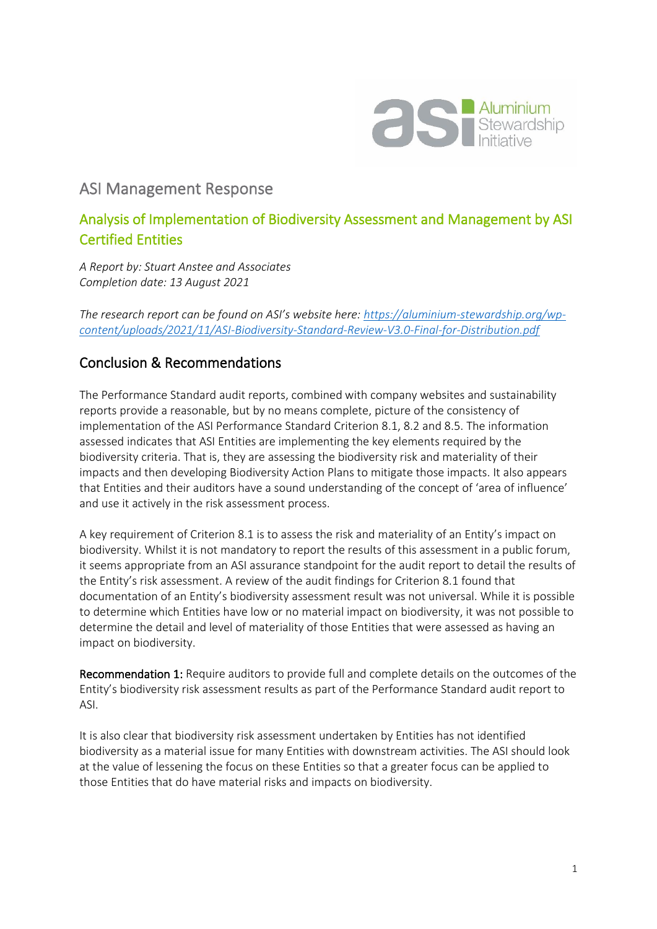

## ASI Management Response

## Analysis of Implementation of Biodiversity Assessment and Management by ASI Certified Entities

*A Report by: Stuart Anstee and Associates Completion date: 13 August 2021*

*The research report can be found on ASI's website here: [https://aluminium-stewardship.org/wp](https://aluminium-stewardship.org/wp-content/uploads/2021/11/ASI-Biodiversity-Standard-Review-V3.0-Final-for-Distribution.pdf)[content/uploads/2021/11/ASI-Biodiversity-Standard-Review-V3.0-Final-for-Distribution.pdf](https://aluminium-stewardship.org/wp-content/uploads/2021/11/ASI-Biodiversity-Standard-Review-V3.0-Final-for-Distribution.pdf)*

## Conclusion & Recommendations

The Performance Standard audit reports, combined with company websites and sustainability reports provide a reasonable, but by no means complete, picture of the consistency of implementation of the ASI Performance Standard Criterion 8.1, 8.2 and 8.5. The information assessed indicates that ASI Entities are implementing the key elements required by the biodiversity criteria. That is, they are assessing the biodiversity risk and materiality of their impacts and then developing Biodiversity Action Plans to mitigate those impacts. It also appears that Entities and their auditors have a sound understanding of the concept of 'area of influence' and use it actively in the risk assessment process.

A key requirement of Criterion 8.1 is to assess the risk and materiality of an Entity's impact on biodiversity. Whilst it is not mandatory to report the results of this assessment in a public forum, it seems appropriate from an ASI assurance standpoint for the audit report to detail the results of the Entity's risk assessment. A review of the audit findings for Criterion 8.1 found that documentation of an Entity's biodiversity assessment result was not universal. While it is possible to determine which Entities have low or no material impact on biodiversity, it was not possible to determine the detail and level of materiality of those Entities that were assessed as having an impact on biodiversity.

Recommendation 1: Require auditors to provide full and complete details on the outcomes of the Entity's biodiversity risk assessment results as part of the Performance Standard audit report to ASI.

It is also clear that biodiversity risk assessment undertaken by Entities has not identified biodiversity as a material issue for many Entities with downstream activities. The ASI should look at the value of lessening the focus on these Entities so that a greater focus can be applied to those Entities that do have material risks and impacts on biodiversity.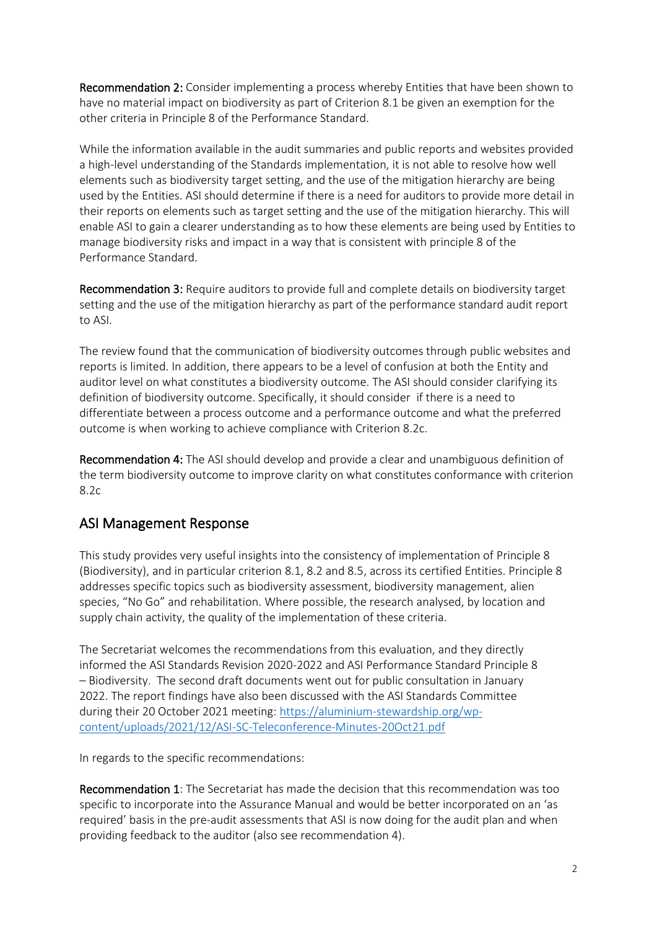Recommendation 2: Consider implementing a process whereby Entities that have been shown to have no material impact on biodiversity as part of Criterion 8.1 be given an exemption for the other criteria in Principle 8 of the Performance Standard.

While the information available in the audit summaries and public reports and websites provided a high-level understanding of the Standards implementation, it is not able to resolve how well elements such as biodiversity target setting, and the use of the mitigation hierarchy are being used by the Entities. ASI should determine if there is a need for auditors to provide more detail in their reports on elements such as target setting and the use of the mitigation hierarchy. This will enable ASI to gain a clearer understanding as to how these elements are being used by Entities to manage biodiversity risks and impact in a way that is consistent with principle 8 of the Performance Standard.

Recommendation 3: Require auditors to provide full and complete details on biodiversity target setting and the use of the mitigation hierarchy as part of the performance standard audit report to ASI.

The review found that the communication of biodiversity outcomes through public websites and reports is limited. In addition, there appears to be a level of confusion at both the Entity and auditor level on what constitutes a biodiversity outcome. The ASI should consider clarifying its definition of biodiversity outcome. Specifically, it should consider if there is a need to differentiate between a process outcome and a performance outcome and what the preferred outcome is when working to achieve compliance with Criterion 8.2c.

Recommendation 4: The ASI should develop and provide a clear and unambiguous definition of the term biodiversity outcome to improve clarity on what constitutes conformance with criterion 8.2c

## ASI Management Response

This study provides very useful insights into the consistency of implementation of Principle 8 (Biodiversity), and in particular criterion 8.1, 8.2 and 8.5, across its certified Entities. Principle 8 addresses specific topics such as biodiversity assessment, biodiversity management, alien species, "No Go" and rehabilitation. Where possible, the research analysed, by location and supply chain activity, the quality of the implementation of these criteria.

The Secretariat welcomes the recommendations from this evaluation, and they directly informed the ASI Standards Revision 2020-2022 and ASI Performance Standard Principle 8 – Biodiversity. The second draft documents went out for public consultation in January 2022. The report findings have also been discussed with the ASI Standards Committee during their 20 October 2021 meeting: [https://aluminium-stewardship.org/wp](https://aluminium-stewardship.org/wp-content/uploads/2021/12/ASI-SC-Teleconference-Minutes-20Oct21.pdf)[content/uploads/2021/12/ASI-SC-Teleconference-Minutes-20Oct21.pdf](https://aluminium-stewardship.org/wp-content/uploads/2021/12/ASI-SC-Teleconference-Minutes-20Oct21.pdf)

In regards to the specific recommendations:

Recommendation 1: The Secretariat has made the decision that this recommendation was too specific to incorporate into the Assurance Manual and would be better incorporated on an 'as required' basis in the pre-audit assessments that ASI is now doing for the audit plan and when providing feedback to the auditor (also see recommendation 4).